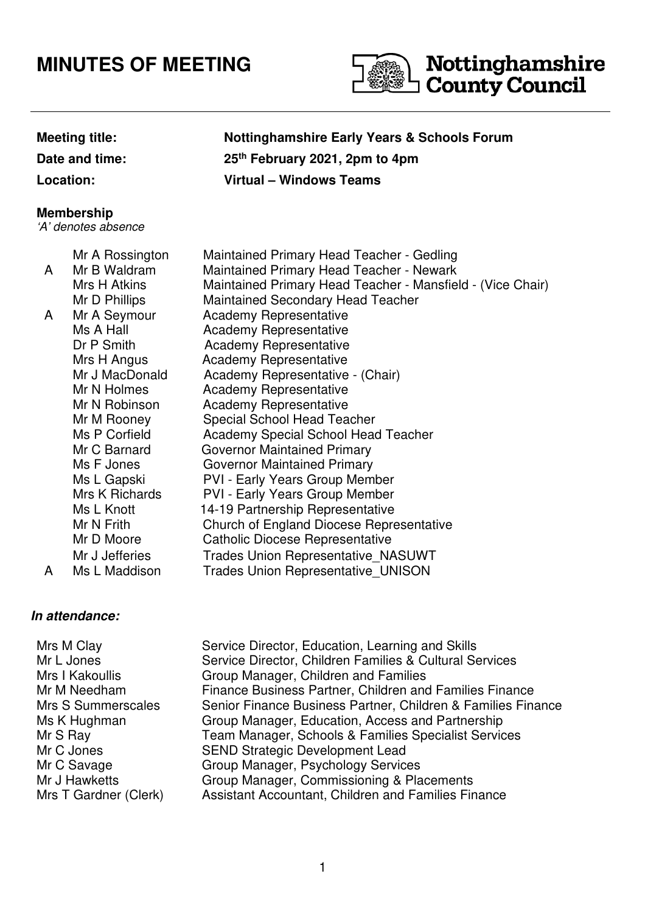# **MINUTES OF MEETING**



# **Meeting title: Nottinghamshire Early Years & Schools Forum Date and time: 25th February 2021, 2pm to 4pm Location: Virtual – Windows Teams**

# **Membership**

'A' denotes absence

|   | Mr A Rossington | Maintained Primary Head Teacher - Gedling                  |
|---|-----------------|------------------------------------------------------------|
| A | Mr B Waldram    | Maintained Primary Head Teacher - Newark                   |
|   | Mrs H Atkins    | Maintained Primary Head Teacher - Mansfield - (Vice Chair) |
|   | Mr D Phillips   | <b>Maintained Secondary Head Teacher</b>                   |
| A | Mr A Seymour    | <b>Academy Representative</b>                              |
|   | Ms A Hall       | Academy Representative                                     |
|   | Dr P Smith      | <b>Academy Representative</b>                              |
|   | Mrs H Angus     | Academy Representative                                     |
|   | Mr J MacDonald  | Academy Representative - (Chair)                           |
|   | Mr N Holmes     | <b>Academy Representative</b>                              |
|   | Mr N Robinson   | <b>Academy Representative</b>                              |
|   | Mr M Rooney     | <b>Special School Head Teacher</b>                         |
|   | Ms P Corfield   | Academy Special School Head Teacher                        |
|   | Mr C Barnard    | <b>Governor Maintained Primary</b>                         |
|   | Ms F Jones      | <b>Governor Maintained Primary</b>                         |
|   | Ms L Gapski     | <b>PVI - Early Years Group Member</b>                      |
|   | Mrs K Richards  | <b>PVI - Early Years Group Member</b>                      |
|   | Ms L Knott      | 14-19 Partnership Representative                           |
|   | Mr N Frith      | <b>Church of England Diocese Representative</b>            |
|   | Mr D Moore      | <b>Catholic Diocese Representative</b>                     |
|   | Mr J Jefferies  | <b>Trades Union Representative NASUWT</b>                  |
| A | Ms L Maddison   | <b>Trades Union Representative UNISON</b>                  |
|   |                 |                                                            |

# **In attendance:**

| Mrs M Clay            | Service Director, Education, Learning and Skills             |
|-----------------------|--------------------------------------------------------------|
| Mr L Jones            | Service Director, Children Families & Cultural Services      |
| Mrs I Kakoullis       | Group Manager, Children and Families                         |
| Mr M Needham          | Finance Business Partner, Children and Families Finance      |
| Mrs S Summerscales    | Senior Finance Business Partner, Children & Families Finance |
| Ms K Hughman          | Group Manager, Education, Access and Partnership             |
| Mr S Ray              | Team Manager, Schools & Families Specialist Services         |
| Mr C Jones            | <b>SEND Strategic Development Lead</b>                       |
| Mr C Savage           | Group Manager, Psychology Services                           |
| Mr J Hawketts         | Group Manager, Commissioning & Placements                    |
| Mrs T Gardner (Clerk) | Assistant Accountant, Children and Families Finance          |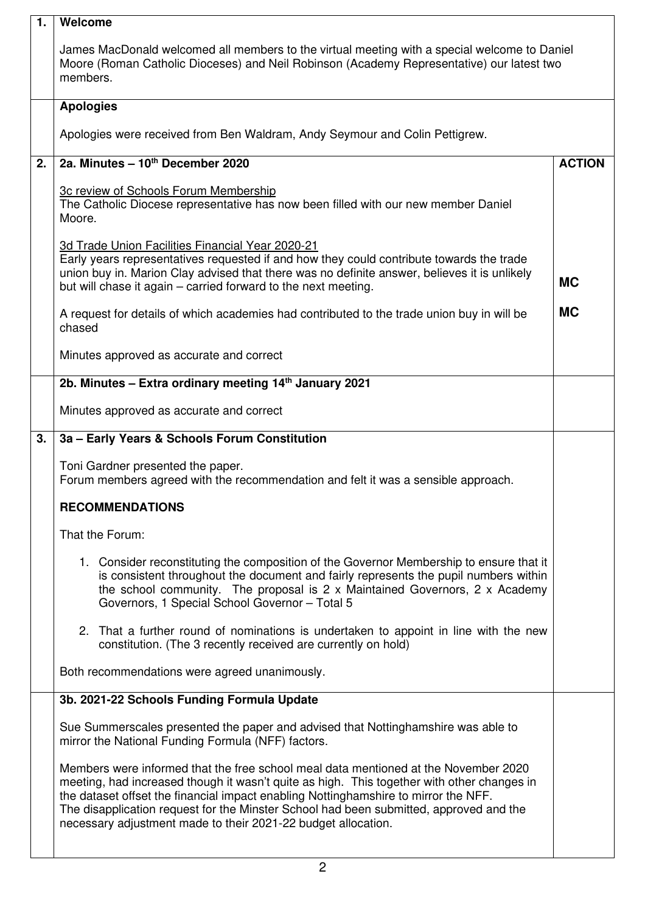| 1. | Welcome                                                                                                                                                                                                                                                                                                                                                                                                                             |               |  |
|----|-------------------------------------------------------------------------------------------------------------------------------------------------------------------------------------------------------------------------------------------------------------------------------------------------------------------------------------------------------------------------------------------------------------------------------------|---------------|--|
|    | James MacDonald welcomed all members to the virtual meeting with a special welcome to Daniel<br>Moore (Roman Catholic Dioceses) and Neil Robinson (Academy Representative) our latest two<br>members.                                                                                                                                                                                                                               |               |  |
|    | <b>Apologies</b>                                                                                                                                                                                                                                                                                                                                                                                                                    |               |  |
|    | Apologies were received from Ben Waldram, Andy Seymour and Colin Pettigrew.                                                                                                                                                                                                                                                                                                                                                         |               |  |
| 2. | 2a. Minutes - 10th December 2020                                                                                                                                                                                                                                                                                                                                                                                                    | <b>ACTION</b> |  |
|    | 3c review of Schools Forum Membership<br>The Catholic Diocese representative has now been filled with our new member Daniel<br>Moore.                                                                                                                                                                                                                                                                                               |               |  |
|    | 3d Trade Union Facilities Financial Year 2020-21<br>Early years representatives requested if and how they could contribute towards the trade<br>union buy in. Marion Clay advised that there was no definite answer, believes it is unlikely<br>but will chase it again – carried forward to the next meeting.                                                                                                                      | <b>MC</b>     |  |
|    | A request for details of which academies had contributed to the trade union buy in will be<br>chased                                                                                                                                                                                                                                                                                                                                | <b>MC</b>     |  |
|    | Minutes approved as accurate and correct                                                                                                                                                                                                                                                                                                                                                                                            |               |  |
|    | 2b. Minutes - Extra ordinary meeting 14th January 2021                                                                                                                                                                                                                                                                                                                                                                              |               |  |
|    | Minutes approved as accurate and correct                                                                                                                                                                                                                                                                                                                                                                                            |               |  |
| 3. | 3a - Early Years & Schools Forum Constitution                                                                                                                                                                                                                                                                                                                                                                                       |               |  |
|    | Toni Gardner presented the paper.<br>Forum members agreed with the recommendation and felt it was a sensible approach.                                                                                                                                                                                                                                                                                                              |               |  |
|    | <b>RECOMMENDATIONS</b>                                                                                                                                                                                                                                                                                                                                                                                                              |               |  |
|    | That the Forum:                                                                                                                                                                                                                                                                                                                                                                                                                     |               |  |
|    | 1. Consider reconstituting the composition of the Governor Membership to ensure that it<br>is consistent throughout the document and fairly represents the pupil numbers within<br>the school community. The proposal is 2 x Maintained Governors, 2 x Academy<br>Governors, 1 Special School Governor - Total 5                                                                                                                    |               |  |
|    | 2. That a further round of nominations is undertaken to appoint in line with the new<br>constitution. (The 3 recently received are currently on hold)                                                                                                                                                                                                                                                                               |               |  |
|    | Both recommendations were agreed unanimously.                                                                                                                                                                                                                                                                                                                                                                                       |               |  |
|    | 3b. 2021-22 Schools Funding Formula Update                                                                                                                                                                                                                                                                                                                                                                                          |               |  |
|    | Sue Summerscales presented the paper and advised that Nottinghamshire was able to<br>mirror the National Funding Formula (NFF) factors.                                                                                                                                                                                                                                                                                             |               |  |
|    | Members were informed that the free school meal data mentioned at the November 2020<br>meeting, had increased though it wasn't quite as high. This together with other changes in<br>the dataset offset the financial impact enabling Nottinghamshire to mirror the NFF.<br>The disapplication request for the Minster School had been submitted, approved and the<br>necessary adjustment made to their 2021-22 budget allocation. |               |  |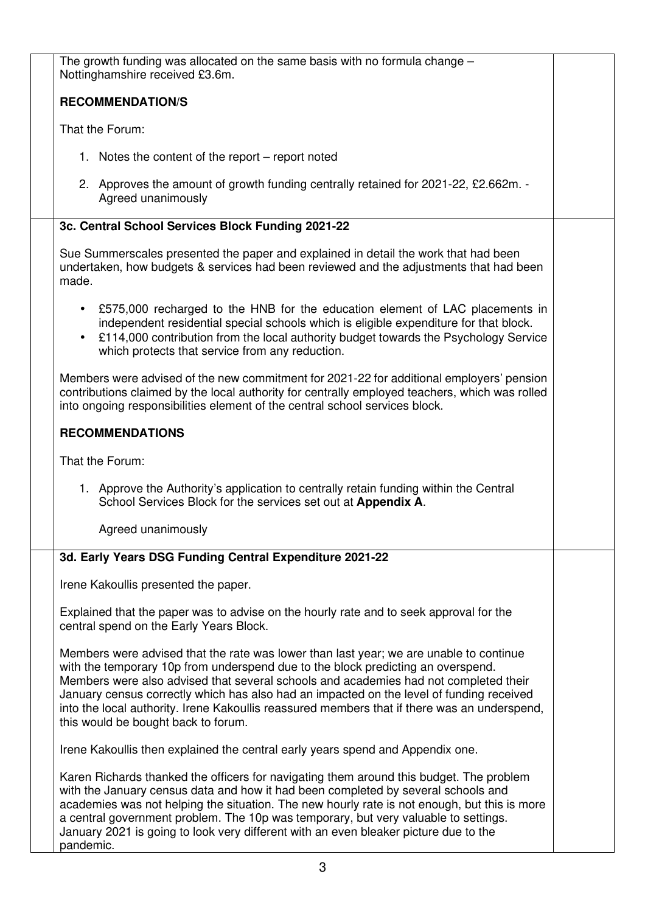| The growth funding was allocated on the same basis with no formula change $-$<br>Nottinghamshire received £3.6m.                                                                                                                                                                                                                                                                                                                                                                                      |  |
|-------------------------------------------------------------------------------------------------------------------------------------------------------------------------------------------------------------------------------------------------------------------------------------------------------------------------------------------------------------------------------------------------------------------------------------------------------------------------------------------------------|--|
| <b>RECOMMENDATION/S</b>                                                                                                                                                                                                                                                                                                                                                                                                                                                                               |  |
| That the Forum:                                                                                                                                                                                                                                                                                                                                                                                                                                                                                       |  |
| 1. Notes the content of the report – report noted                                                                                                                                                                                                                                                                                                                                                                                                                                                     |  |
| 2. Approves the amount of growth funding centrally retained for 2021-22, £2.662m. -<br>Agreed unanimously                                                                                                                                                                                                                                                                                                                                                                                             |  |
| 3c. Central School Services Block Funding 2021-22                                                                                                                                                                                                                                                                                                                                                                                                                                                     |  |
| Sue Summerscales presented the paper and explained in detail the work that had been<br>undertaken, how budgets & services had been reviewed and the adjustments that had been<br>made.                                                                                                                                                                                                                                                                                                                |  |
| • £575,000 recharged to the HNB for the education element of LAC placements in<br>independent residential special schools which is eligible expenditure for that block.<br>£114,000 contribution from the local authority budget towards the Psychology Service<br>$\bullet$<br>which protects that service from any reduction.                                                                                                                                                                       |  |
| Members were advised of the new commitment for 2021-22 for additional employers' pension<br>contributions claimed by the local authority for centrally employed teachers, which was rolled<br>into ongoing responsibilities element of the central school services block.                                                                                                                                                                                                                             |  |
| <b>RECOMMENDATIONS</b>                                                                                                                                                                                                                                                                                                                                                                                                                                                                                |  |
| That the Forum:                                                                                                                                                                                                                                                                                                                                                                                                                                                                                       |  |
| 1. Approve the Authority's application to centrally retain funding within the Central<br>School Services Block for the services set out at Appendix A.                                                                                                                                                                                                                                                                                                                                                |  |
| Agreed unanimously                                                                                                                                                                                                                                                                                                                                                                                                                                                                                    |  |
| 3d. Early Years DSG Funding Central Expenditure 2021-22                                                                                                                                                                                                                                                                                                                                                                                                                                               |  |
| Irene Kakoullis presented the paper.                                                                                                                                                                                                                                                                                                                                                                                                                                                                  |  |
| Explained that the paper was to advise on the hourly rate and to seek approval for the<br>central spend on the Early Years Block.                                                                                                                                                                                                                                                                                                                                                                     |  |
| Members were advised that the rate was lower than last year; we are unable to continue<br>with the temporary 10p from underspend due to the block predicting an overspend.<br>Members were also advised that several schools and academies had not completed their<br>January census correctly which has also had an impacted on the level of funding received<br>into the local authority. Irene Kakoullis reassured members that if there was an underspend,<br>this would be bought back to forum. |  |
| Irene Kakoullis then explained the central early years spend and Appendix one.                                                                                                                                                                                                                                                                                                                                                                                                                        |  |
| Karen Richards thanked the officers for navigating them around this budget. The problem<br>with the January census data and how it had been completed by several schools and<br>academies was not helping the situation. The new hourly rate is not enough, but this is more<br>a central government problem. The 10p was temporary, but very valuable to settings.<br>January 2021 is going to look very different with an even bleaker picture due to the<br>pandemic.                              |  |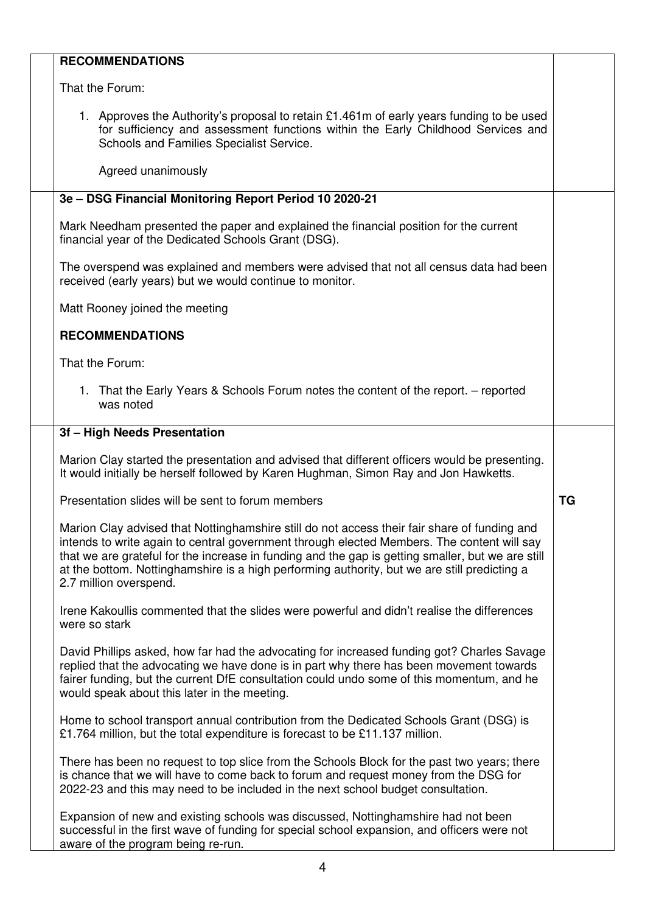# **RECOMMENDATIONS**

That the Forum:

1. Approves the Authority's proposal to retain £1.461m of early years funding to be used for sufficiency and assessment functions within the Early Childhood Services and Schools and Families Specialist Service.

Agreed unanimously

## **3e – DSG Financial Monitoring Report Period 10 2020-21**

Mark Needham presented the paper and explained the financial position for the current financial year of the Dedicated Schools Grant (DSG).

The overspend was explained and members were advised that not all census data had been received (early years) but we would continue to monitor.

Matt Rooney joined the meeting

### **RECOMMENDATIONS**

That the Forum:

1. That the Early Years & Schools Forum notes the content of the report. – reported was noted

#### **3f – High Needs Presentation**

Marion Clay started the presentation and advised that different officers would be presenting. It would initially be herself followed by Karen Hughman, Simon Ray and Jon Hawketts.

**TG** 

Presentation slides will be sent to forum members

Marion Clay advised that Nottinghamshire still do not access their fair share of funding and intends to write again to central government through elected Members. The content will say that we are grateful for the increase in funding and the gap is getting smaller, but we are still at the bottom. Nottinghamshire is a high performing authority, but we are still predicting a 2.7 million overspend.

Irene Kakoullis commented that the slides were powerful and didn't realise the differences were so stark

David Phillips asked, how far had the advocating for increased funding got? Charles Savage replied that the advocating we have done is in part why there has been movement towards fairer funding, but the current DfE consultation could undo some of this momentum, and he would speak about this later in the meeting.

Home to school transport annual contribution from the Dedicated Schools Grant (DSG) is £1.764 million, but the total expenditure is forecast to be £11.137 million.

There has been no request to top slice from the Schools Block for the past two years; there is chance that we will have to come back to forum and request money from the DSG for 2022-23 and this may need to be included in the next school budget consultation.

Expansion of new and existing schools was discussed, Nottinghamshire had not been successful in the first wave of funding for special school expansion, and officers were not aware of the program being re-run.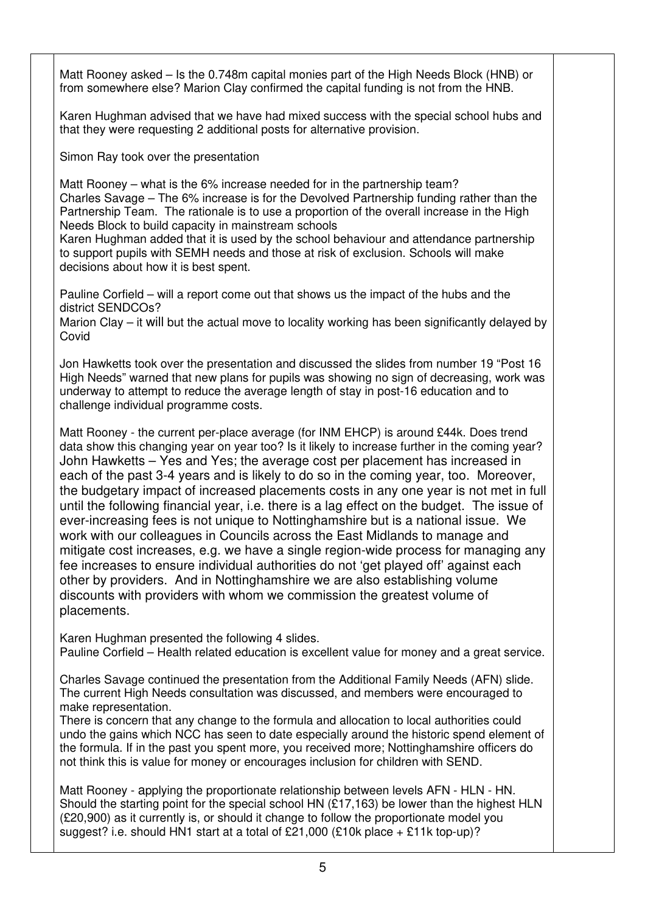Matt Rooney asked – Is the 0.748m capital monies part of the High Needs Block (HNB) or from somewhere else? Marion Clay confirmed the capital funding is not from the HNB.

Karen Hughman advised that we have had mixed success with the special school hubs and that they were requesting 2 additional posts for alternative provision.

Simon Ray took over the presentation

Matt Rooney – what is the 6% increase needed for in the partnership team? Charles Savage – The 6% increase is for the Devolved Partnership funding rather than the Partnership Team. The rationale is to use a proportion of the overall increase in the High Needs Block to build capacity in mainstream schools

Karen Hughman added that it is used by the school behaviour and attendance partnership to support pupils with SEMH needs and those at risk of exclusion. Schools will make decisions about how it is best spent.

Pauline Corfield – will a report come out that shows us the impact of the hubs and the district SENDCOs?

Marion Clay – it will but the actual move to locality working has been significantly delayed by Covid

Jon Hawketts took over the presentation and discussed the slides from number 19 "Post 16 High Needs" warned that new plans for pupils was showing no sign of decreasing, work was underway to attempt to reduce the average length of stay in post-16 education and to challenge individual programme costs.

Matt Rooney - the current per-place average (for INM EHCP) is around £44k. Does trend data show this changing year on year too? Is it likely to increase further in the coming year? John Hawketts – Yes and Yes; the average cost per placement has increased in each of the past 3-4 years and is likely to do so in the coming year, too. Moreover, the budgetary impact of increased placements costs in any one year is not met in full until the following financial year, i.e. there is a lag effect on the budget. The issue of ever-increasing fees is not unique to Nottinghamshire but is a national issue. We work with our colleagues in Councils across the East Midlands to manage and mitigate cost increases, e.g. we have a single region-wide process for managing any fee increases to ensure individual authorities do not 'get played off' against each other by providers. And in Nottinghamshire we are also establishing volume discounts with providers with whom we commission the greatest volume of placements.

Karen Hughman presented the following 4 slides. Pauline Corfield – Health related education is excellent value for money and a great service.

Charles Savage continued the presentation from the Additional Family Needs (AFN) slide. The current High Needs consultation was discussed, and members were encouraged to make representation.

There is concern that any change to the formula and allocation to local authorities could undo the gains which NCC has seen to date especially around the historic spend element of the formula. If in the past you spent more, you received more; Nottinghamshire officers do not think this is value for money or encourages inclusion for children with SEND.

Matt Rooney - applying the proportionate relationship between levels AFN - HLN - HN. Should the starting point for the special school HN (£17,163) be lower than the highest HLN (£20,900) as it currently is, or should it change to follow the proportionate model you suggest? i.e. should HN1 start at a total of £21,000 (£10k place + £11k top-up)?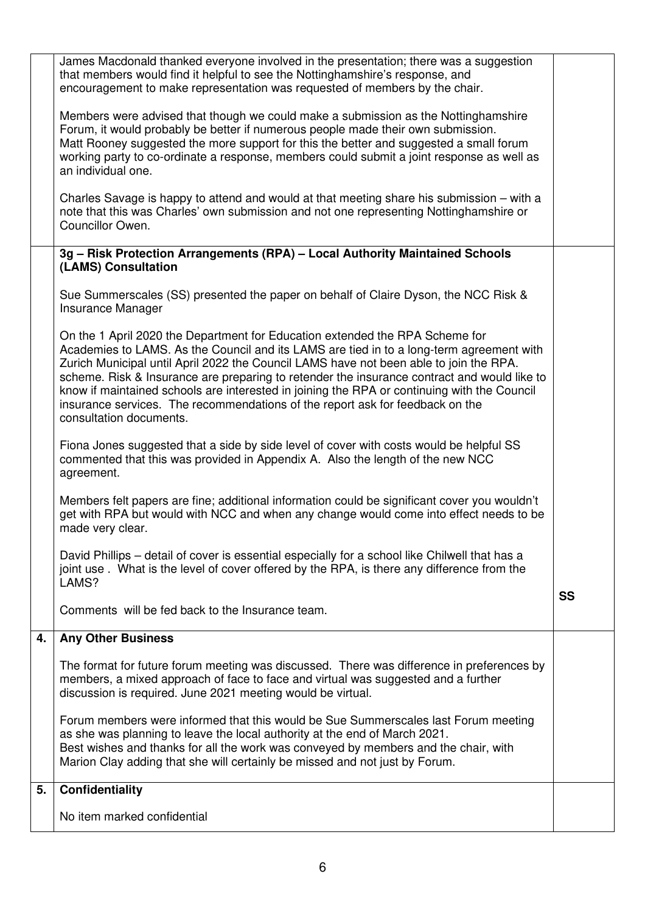|    | James Macdonald thanked everyone involved in the presentation; there was a suggestion<br>that members would find it helpful to see the Nottinghamshire's response, and<br>encouragement to make representation was requested of members by the chair.                                                                                                                                                                                                                                                                                                                        |           |
|----|------------------------------------------------------------------------------------------------------------------------------------------------------------------------------------------------------------------------------------------------------------------------------------------------------------------------------------------------------------------------------------------------------------------------------------------------------------------------------------------------------------------------------------------------------------------------------|-----------|
|    | Members were advised that though we could make a submission as the Nottinghamshire<br>Forum, it would probably be better if numerous people made their own submission.<br>Matt Rooney suggested the more support for this the better and suggested a small forum<br>working party to co-ordinate a response, members could submit a joint response as well as<br>an individual one.                                                                                                                                                                                          |           |
|    | Charles Savage is happy to attend and would at that meeting share his submission – with a<br>note that this was Charles' own submission and not one representing Nottinghamshire or<br>Councillor Owen.                                                                                                                                                                                                                                                                                                                                                                      |           |
|    | 3g - Risk Protection Arrangements (RPA) - Local Authority Maintained Schools<br>(LAMS) Consultation                                                                                                                                                                                                                                                                                                                                                                                                                                                                          |           |
|    | Sue Summerscales (SS) presented the paper on behalf of Claire Dyson, the NCC Risk &<br>Insurance Manager                                                                                                                                                                                                                                                                                                                                                                                                                                                                     |           |
|    | On the 1 April 2020 the Department for Education extended the RPA Scheme for<br>Academies to LAMS. As the Council and its LAMS are tied in to a long-term agreement with<br>Zurich Municipal until April 2022 the Council LAMS have not been able to join the RPA.<br>scheme. Risk & Insurance are preparing to retender the insurance contract and would like to<br>know if maintained schools are interested in joining the RPA or continuing with the Council<br>insurance services. The recommendations of the report ask for feedback on the<br>consultation documents. |           |
|    | Fiona Jones suggested that a side by side level of cover with costs would be helpful SS<br>commented that this was provided in Appendix A. Also the length of the new NCC<br>agreement.                                                                                                                                                                                                                                                                                                                                                                                      |           |
|    | Members felt papers are fine; additional information could be significant cover you wouldn't<br>get with RPA but would with NCC and when any change would come into effect needs to be<br>made very clear.                                                                                                                                                                                                                                                                                                                                                                   |           |
|    | David Phillips – detail of cover is essential especially for a school like Chilwell that has a<br>joint use. What is the level of cover offered by the RPA, is there any difference from the<br>LAMS?                                                                                                                                                                                                                                                                                                                                                                        |           |
|    | Comments will be fed back to the Insurance team.                                                                                                                                                                                                                                                                                                                                                                                                                                                                                                                             | <b>SS</b> |
| 4. | <b>Any Other Business</b>                                                                                                                                                                                                                                                                                                                                                                                                                                                                                                                                                    |           |
|    | The format for future forum meeting was discussed. There was difference in preferences by<br>members, a mixed approach of face to face and virtual was suggested and a further<br>discussion is required. June 2021 meeting would be virtual.                                                                                                                                                                                                                                                                                                                                |           |
|    | Forum members were informed that this would be Sue Summerscales last Forum meeting<br>as she was planning to leave the local authority at the end of March 2021.<br>Best wishes and thanks for all the work was conveyed by members and the chair, with<br>Marion Clay adding that she will certainly be missed and not just by Forum.                                                                                                                                                                                                                                       |           |
| 5. | <b>Confidentiality</b>                                                                                                                                                                                                                                                                                                                                                                                                                                                                                                                                                       |           |
|    | No item marked confidential                                                                                                                                                                                                                                                                                                                                                                                                                                                                                                                                                  |           |